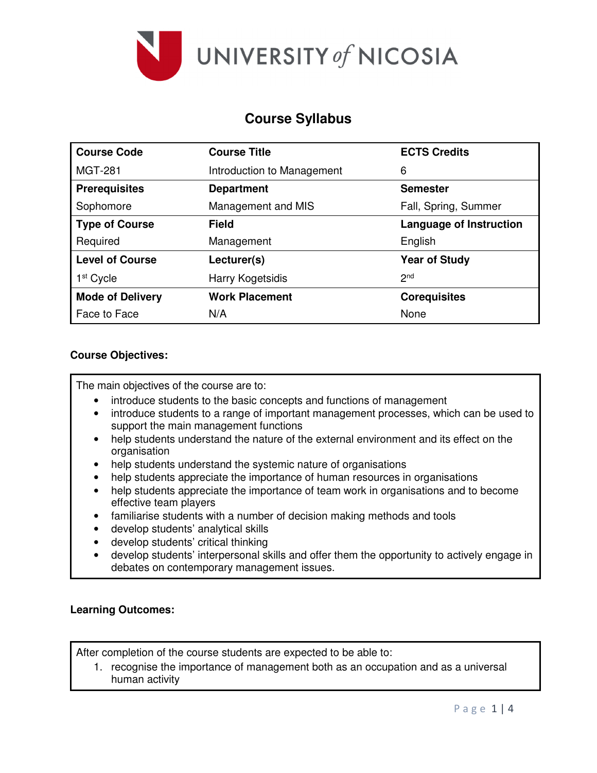

# **Course Syllabus**

| <b>Course Code</b>      | <b>Course Title</b>        | <b>ECTS Credits</b>            |  |  |
|-------------------------|----------------------------|--------------------------------|--|--|
| <b>MGT-281</b>          | Introduction to Management | 6                              |  |  |
| <b>Prerequisites</b>    | <b>Department</b>          | <b>Semester</b>                |  |  |
| Sophomore               | Management and MIS         | Fall, Spring, Summer           |  |  |
| <b>Type of Course</b>   | <b>Field</b>               | <b>Language of Instruction</b> |  |  |
| Required                | Management                 | English                        |  |  |
| <b>Level of Course</b>  | Lecturer(s)                | <b>Year of Study</b>           |  |  |
| 1 <sup>st</sup> Cycle   | Harry Kogetsidis           | 2 <sub>nd</sub>                |  |  |
| <b>Mode of Delivery</b> | <b>Work Placement</b>      | <b>Corequisites</b>            |  |  |
| Face to Face            | N/A                        | None                           |  |  |

## **Course Objectives:**

The main objectives of the course are to:

- introduce students to the basic concepts and functions of management
- introduce students to a range of important management processes, which can be used to support the main management functions
- help students understand the nature of the external environment and its effect on the organisation
- help students understand the systemic nature of organisations
- help students appreciate the importance of human resources in organisations
- help students appreciate the importance of team work in organisations and to become effective team players
- familiarise students with a number of decision making methods and tools
- develop students' analytical skills
- develop students' critical thinking
- develop students' interpersonal skills and offer them the opportunity to actively engage in debates on contemporary management issues.

## **Learning Outcomes:**

After completion of the course students are expected to be able to:

1. recognise the importance of management both as an occupation and as a universal human activity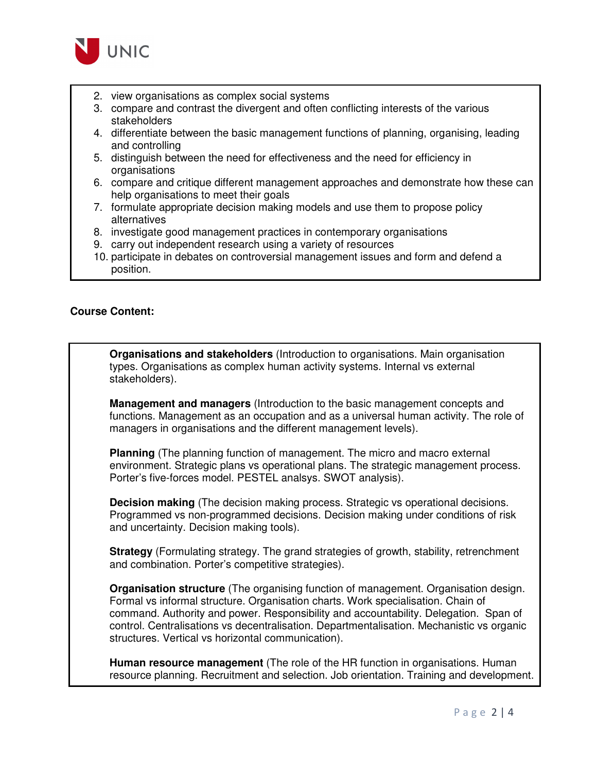

- 2. view organisations as complex social systems
- 3. compare and contrast the divergent and often conflicting interests of the various stakeholders
- 4. differentiate between the basic management functions of planning, organising, leading and controlling
- 5. distinguish between the need for effectiveness and the need for efficiency in organisations
- 6. compare and critique different management approaches and demonstrate how these can help organisations to meet their goals
- 7. formulate appropriate decision making models and use them to propose policy alternatives
- 8. investigate good management practices in contemporary organisations
- 9. carry out independent research using a variety of resources
- 10. participate in debates on controversial management issues and form and defend a position.

## **Course Content:**

**Organisations and stakeholders** (Introduction to organisations. Main organisation types. Organisations as complex human activity systems. Internal vs external stakeholders).

**Management and managers** (Introduction to the basic management concepts and functions. Management as an occupation and as a universal human activity. The role of managers in organisations and the different management levels).

**Planning** (The planning function of management. The micro and macro external environment. Strategic plans vs operational plans. The strategic management process. Porter's five-forces model. PESTEL analsys. SWOT analysis).

**Decision making** (The decision making process. Strategic vs operational decisions. Programmed vs non-programmed decisions. Decision making under conditions of risk and uncertainty. Decision making tools).

**Strategy** (Formulating strategy. The grand strategies of growth, stability, retrenchment and combination. Porter's competitive strategies).

**Organisation structure** (The organising function of management. Organisation design. Formal vs informal structure. Organisation charts. Work specialisation. Chain of command. Authority and power. Responsibility and accountability. Delegation. Span of control. Centralisations vs decentralisation. Departmentalisation. Mechanistic vs organic structures. Vertical vs horizontal communication).

**Human resource management** (The role of the HR function in organisations. Human resource planning. Recruitment and selection. Job orientation. Training and development.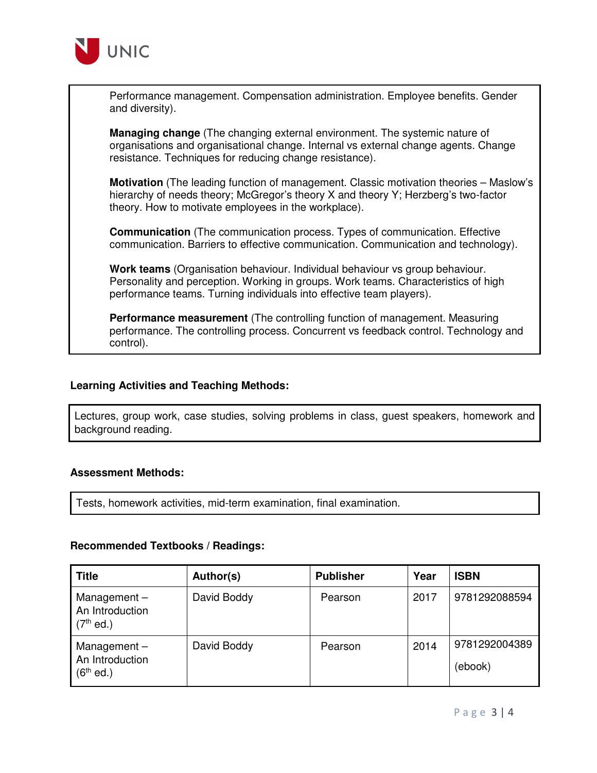

Performance management. Compensation administration. Employee benefits. Gender and diversity).

**Managing change** (The changing external environment. The systemic nature of organisations and organisational change. Internal vs external change agents. Change resistance. Techniques for reducing change resistance).

**Motivation** (The leading function of management. Classic motivation theories – Maslow's hierarchy of needs theory; McGregor's theory X and theory Y; Herzberg's two-factor theory. How to motivate employees in the workplace).

**Communication** (The communication process. Types of communication. Effective communication. Barriers to effective communication. Communication and technology).

**Work teams** (Organisation behaviour. Individual behaviour vs group behaviour. Personality and perception. Working in groups. Work teams. Characteristics of high performance teams. Turning individuals into effective team players).

**Performance measurement** (The controlling function of management. Measuring performance. The controlling process. Concurrent vs feedback control. Technology and control).

## **Learning Activities and Teaching Methods:**

Lectures, group work, case studies, solving problems in class, guest speakers, homework and background reading.

#### **Assessment Methods:**

Tests, homework activities, mid-term examination, final examination.

#### **Recommended Textbooks / Readings:**

| <b>Title</b>                                     | Author(s)   | <b>Publisher</b> | Year | <b>ISBN</b>              |
|--------------------------------------------------|-------------|------------------|------|--------------------------|
| Management $-$<br>An Introduction<br>$(7th$ ed.) | David Boddy | Pearson          | 2017 | 9781292088594            |
| Management $-$<br>An Introduction<br>$(6th$ ed.) | David Boddy | Pearson          | 2014 | 9781292004389<br>(ebook) |